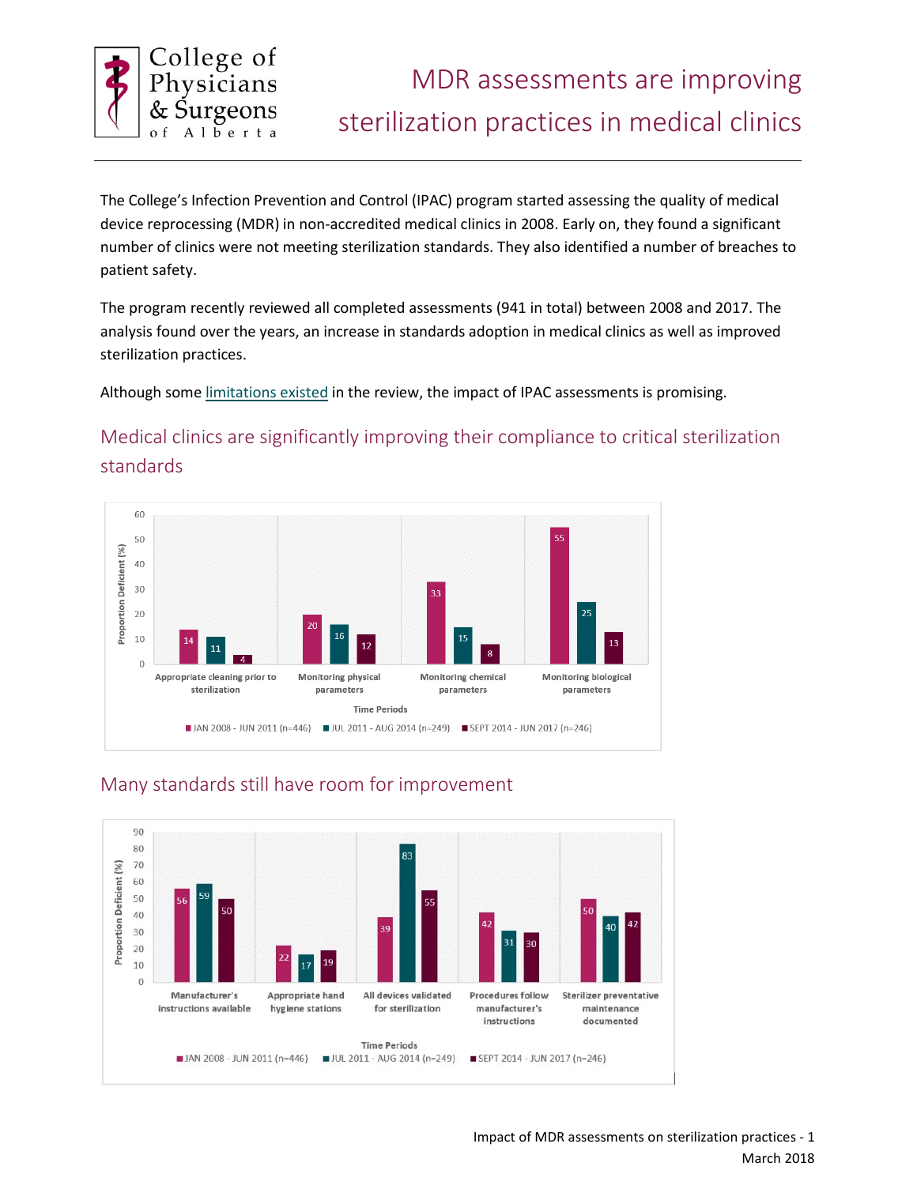

The College's Infection Prevention and Control (IPAC) program started assessing the quality of medical device reprocessing (MDR) in non-accredited medical clinics in 2008. Early on, they found a significant number of clinics were not meeting sterilization standards. They also identified a number of breaches to patient safety.

The program recently reviewed all completed assessments (941 in total) between 2008 and 2017. The analysis found over the years, an increase in standards adoption in medical clinics as well as improved sterilization practices.

Although some [limitations existed](#page-1-0) in the review, the impact of IPAC assessments is promising.

# Medical clinics are significantly improving their compliance to critical sterilization standards





## Many standards still have room for improvement